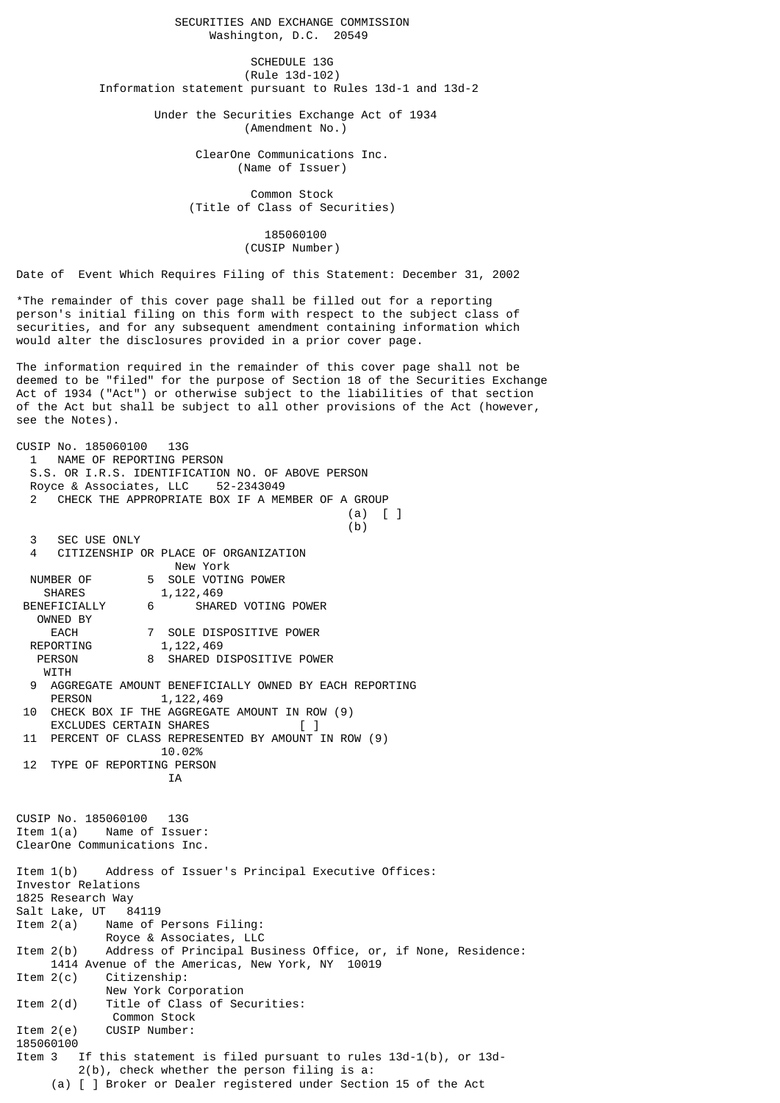SECURITIES AND EXCHANGE COMMISSION Washington, D.C. 20549

SCHEDULE 13G (Rule 13d-102) Information statement pursuant to Rules 13d-1 and 13d-2

> Under the Securities Exchange Act of 1934 (Amendment No.)

> > ClearOne Communications Inc. (Name of Issuer)

 Common Stock (Title of Class of Securities)

> 185060100 (CUSIP Number)

Date of Event Which Requires Filing of this Statement: December 31, 2002

\*The remainder of this cover page shall be filled out for a reporting person's initial filing on this form with respect to the subject class of securities, and for any subsequent amendment containing information which would alter the disclosures provided in a prior cover page.

The information required in the remainder of this cover page shall not be deemed to be "filed" for the purpose of Section 18 of the Securities Exchange Act of 1934 ("Act") or otherwise subject to the liabilities of that section of the Act but shall be subject to all other provisions of the Act (however, see the Notes).

CUSIP No. 185060100 13G 1 NAME OF REPORTING PERSON S.S. OR I.R.S. IDENTIFICATION NO. OF ABOVE PERSON Royce & Associates, LLC 52-2343049 CHECK THE APPROPRIATE BOX IF A MEMBER OF A GROUP (a) [ ]  $(b)$  3 SEC USE ONLY 4 CITIZENSHIP OR PLACE OF ORGANIZATION New York NUMBER OF 5 SOLE VOTING POWER<br>SHARES 1.122.469 1,122,469 BENEFICIALLY 6 SHARED VOTING POWER OWNED BY EACH 7 SOLE DISPOSITIVE POWER<br>REPORTING 1,122,469 1,122,469 PERSON 8 SHARED DISPOSITIVE POWER **WITH**  9 AGGREGATE AMOUNT BENEFICIALLY OWNED BY EACH REPORTING 1,122,469 10 CHECK BOX IF THE AGGREGATE AMOUNT IN ROW (9) EXCLUDES CERTAIN SHARES 11 PERCENT OF CLASS REPRESENTED BY AMOUNT IN ROW (9) 10.02% 12 TYPE OF REPORTING PERSON IA CUSIP No. 185060100 13G Item 1(a) Name of Issuer: ClearOne Communications Inc. Item 1(b) Address of Issuer's Principal Executive Offices: Investor Relations 1825 Research Way Salt Lake, UT 84119 Item 2(a) Name of Persons Filing: Royce & Associates, LLC Item 2(b) Address of Principal Business Office, or, if None, Residence: 1414 Avenue of the Americas, New York, NY 10019 Item 2(c) Citizenship: New York Corporation Item 2(d) Title of Class of Securities: Common Stock Item 2(e) CUSIP Number: 185060100 Item 3 If this statement is filed pursuant to rules 13d-1(b), or 13d- 2(b), check whether the person filing is a: (a) [ ] Broker or Dealer registered under Section 15 of the Act